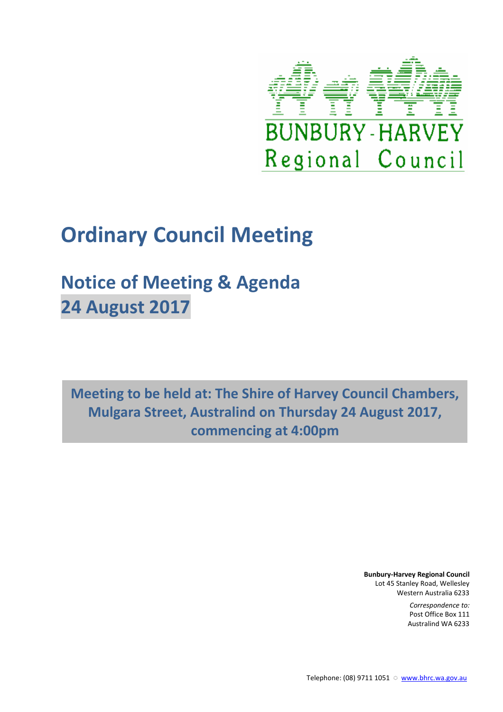

# **Ordinary Council Meeting**

# **Notice of Meeting & Agenda 24 August 2017**

**Meeting to be held at: The Shire of Harvey Council Chambers, Mulgara Street, Australind on Thursday 24 August 2017, commencing at 4:00pm**

> **Bunbury-Harvey Regional Council** Lot 45 Stanley Road, Wellesley Western Australia 6233

> > *Correspondence to:* Post Office Box 111 Australind WA 6233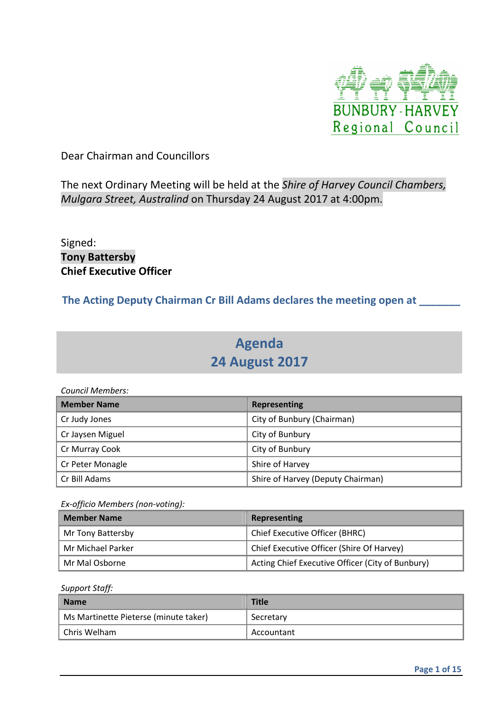

Dear Chairman and Councillors

# The next Ordinary Meeting will be held at the *Shire of Harvey Council Chambers, Mulgara Street, Australind* on Thursday 24 August 2017 at 4:00pm.

Signed: **Tony Battersby Chief Executive Officer** 

# **The Acting Deputy Chairman Cr Bill Adams declares the meeting open at \_\_\_\_\_\_\_**

# **Agenda**

# **24 August 2017**

| <b>Member Name</b> | <b>Representing</b>               |
|--------------------|-----------------------------------|
| Cr Judy Jones      | City of Bunbury (Chairman)        |
| Cr Jaysen Miguel   | City of Bunbury                   |
| Cr Murray Cook     | City of Bunbury                   |
| Cr Peter Monagle   | Shire of Harvey                   |
| Cr Bill Adams      | Shire of Harvey (Deputy Chairman) |

# *Ex-officio Members (non-voting):*

| <b>Member Name</b> | Representing                                     |  |
|--------------------|--------------------------------------------------|--|
| Mr Tony Battersby  | Chief Executive Officer (BHRC)                   |  |
| Mr Michael Parker  | Chief Executive Officer (Shire Of Harvey)        |  |
| Mr Mal Osborne     | Acting Chief Executive Officer (City of Bunbury) |  |

*Support Staff:* 

| Name                                  | <b>Title</b> |
|---------------------------------------|--------------|
| Ms Martinette Pieterse (minute taker) | Secretary    |
| ↓ Chris Welham                        | Accountant   |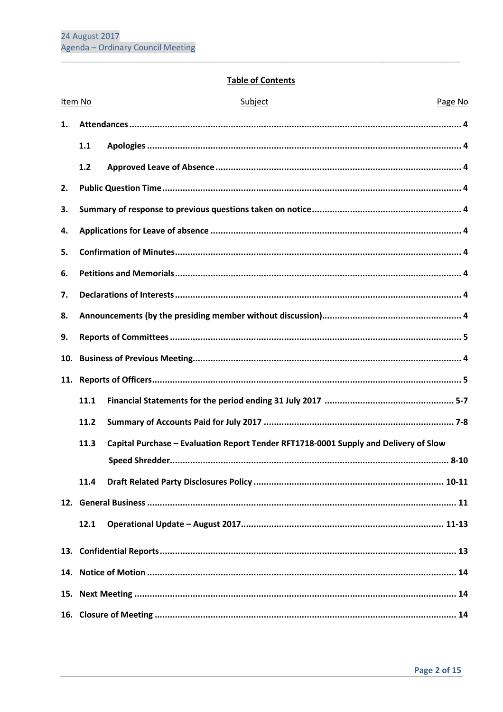# **Table of Contents**

|     | Item No | Subject                                                                              | Page No |
|-----|---------|--------------------------------------------------------------------------------------|---------|
| 1.  |         |                                                                                      |         |
|     | 1.1     |                                                                                      |         |
|     | $1.2$   |                                                                                      |         |
| 2.  |         |                                                                                      |         |
| 3.  |         |                                                                                      |         |
| 4.  |         |                                                                                      |         |
| 5.  |         |                                                                                      |         |
| 6.  |         |                                                                                      |         |
| 7.  |         |                                                                                      |         |
| 8.  |         |                                                                                      |         |
| 9.  |         |                                                                                      |         |
| 10. |         |                                                                                      |         |
|     |         |                                                                                      |         |
|     | 11.1    |                                                                                      |         |
|     | 11.2    |                                                                                      |         |
|     | 11.3    | Capital Purchase - Evaluation Report Tender RFT1718-0001 Supply and Delivery of Slow |         |
|     |         |                                                                                      |         |
|     | 11.4    |                                                                                      |         |
|     |         |                                                                                      |         |
|     | 12.1    |                                                                                      |         |
|     |         |                                                                                      |         |
|     |         |                                                                                      |         |
|     |         |                                                                                      |         |
|     |         |                                                                                      |         |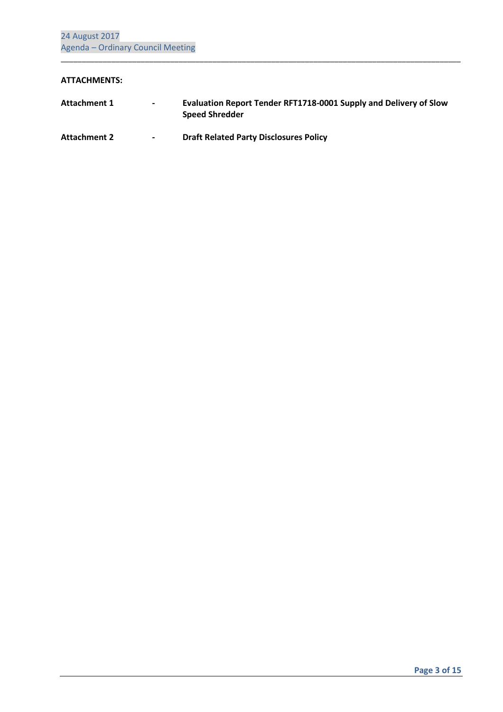# **ATTACHMENTS:**

| <b>Attachment 1</b> | $\sim$ | Evaluation Report Tender RFT1718-0001 Supply and Delivery of Slow<br><b>Speed Shredder</b> |
|---------------------|--------|--------------------------------------------------------------------------------------------|
| <b>Attachment 2</b> | $\sim$ | <b>Draft Related Party Disclosures Policy</b>                                              |

\_\_\_\_\_\_\_\_\_\_\_\_\_\_\_\_\_\_\_\_\_\_\_\_\_\_\_\_\_\_\_\_\_\_\_\_\_\_\_\_\_\_\_\_\_\_\_\_\_\_\_\_\_\_\_\_\_\_\_\_\_\_\_\_\_\_\_\_\_\_\_\_\_\_\_\_\_\_\_\_\_\_\_\_\_\_\_\_\_\_\_\_\_\_\_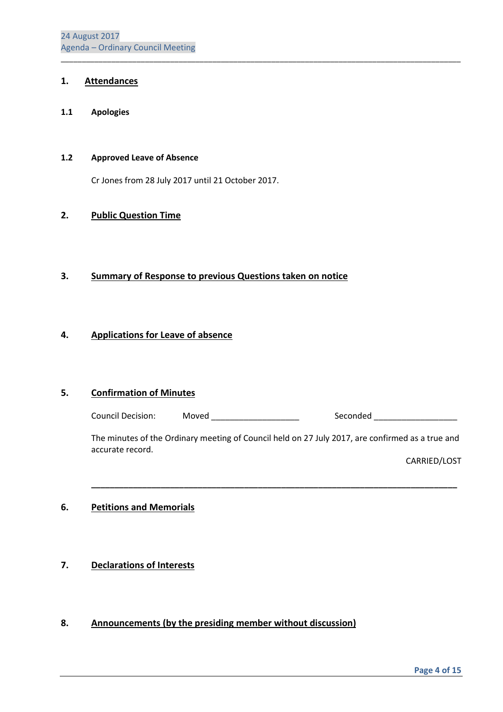# **1. Attendances**

**1.1 Apologies** 

#### **1.2 Approved Leave of Absence**

Cr Jones from 28 July 2017 until 21 October 2017.

# **2. Public Question Time**

## **3. Summary of Response to previous Questions taken on notice**

## **4. Applications for Leave of absence**

#### **5. Confirmation of Minutes**

| <b>Council Decision:</b> | Moved | Seconded |
|--------------------------|-------|----------|
|--------------------------|-------|----------|

\_\_\_\_\_\_\_\_\_\_\_\_\_\_\_\_\_\_\_\_\_\_\_\_\_\_\_\_\_\_\_\_\_\_\_\_\_\_\_\_\_\_\_\_\_\_\_\_\_\_\_\_\_\_\_\_\_\_\_\_\_\_\_\_\_\_\_\_\_\_\_\_\_\_\_\_\_\_\_\_\_\_\_\_\_\_\_\_\_\_\_\_\_\_\_

The minutes of the Ordinary meeting of Council held on 27 July 2017, are confirmed as a true and accurate record.

 **\_\_\_\_\_\_\_\_\_\_\_\_\_\_\_\_\_\_\_\_\_\_\_\_\_\_\_\_\_\_\_\_\_\_\_\_\_\_\_\_\_\_\_\_\_\_\_\_\_\_\_\_\_\_\_\_\_\_\_\_\_\_\_\_\_\_\_\_\_\_\_\_\_\_\_\_\_\_\_** 

CARRIED/LOST

## **6. Petitions and Memorials**

# **7. Declarations of Interests**

# **8. Announcements (by the presiding member without discussion)**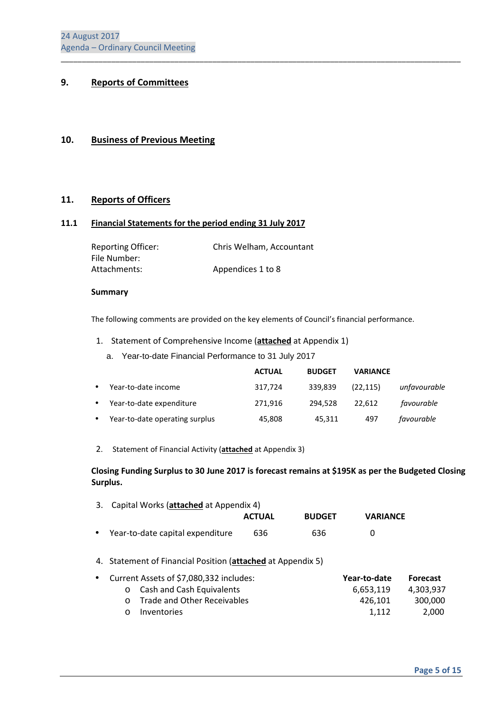# **9. Reports of Committees**

#### **10. Business of Previous Meeting**

#### **11. Reports of Officers**

#### **11.1 Financial Statements for the period ending 31 July 2017**

 Reporting Officer: Chris Welham, Accountant File Number: Attachments: Appendices 1 to 8

#### **Summary**

The following comments are provided on the key elements of Council's financial performance.

\_\_\_\_\_\_\_\_\_\_\_\_\_\_\_\_\_\_\_\_\_\_\_\_\_\_\_\_\_\_\_\_\_\_\_\_\_\_\_\_\_\_\_\_\_\_\_\_\_\_\_\_\_\_\_\_\_\_\_\_\_\_\_\_\_\_\_\_\_\_\_\_\_\_\_\_\_\_\_\_\_\_\_\_\_\_\_\_\_\_\_\_\_\_\_

- 1. Statement of Comprehensive Income (**attached** at Appendix 1)
	- a. Year-to-date Financial Performance to 31 July 2017

|           |                                | <b>ACTUAL</b> | <b>BUDGET</b> | <b>VARIANCE</b> |              |
|-----------|--------------------------------|---------------|---------------|-----------------|--------------|
| $\bullet$ | Year-to-date income            | 317.724       | 339.839       | (22.115)        | unfavourable |
| $\bullet$ | Year-to-date expenditure       | 271.916       | 294.528       | 22.612          | favourable   |
|           | Year-to-date operating surplus | 45,808        | 45,311        | 497             | favourable   |

2. Statement of Financial Activity (**attached** at Appendix 3)

# **Closing Funding Surplus to 30 June 2017 is forecast remains at \$195K as per the Budgeted Closing Surplus.**

| 3. Capital Works (attached at Appendix 4) |               |               |                 |
|-------------------------------------------|---------------|---------------|-----------------|
|                                           | <b>ACTUAL</b> | <b>BUDGET</b> | <b>VARIANCE</b> |
| • Year-to-date capital expenditure        | 636           | 636           |                 |

4. Statement of Financial Position (**attached** at Appendix 5)

| • Current Assets of \$7,080,332 includes: | Year-to-date | <b>Forecast</b> |
|-------------------------------------------|--------------|-----------------|
| <b>O</b> Cash and Cash Equivalents        | 6.653.119    | 4,303,937       |
| o Trade and Other Receivables             | 426.101      | 300.000         |
| Inventories                               | 1.112        | 2.000           |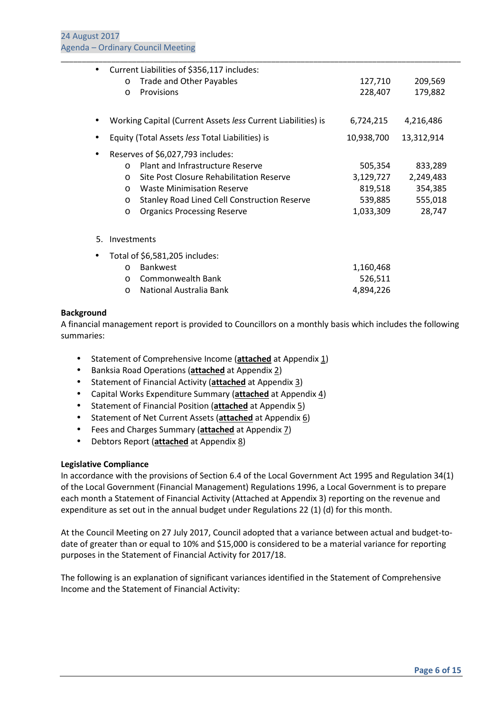| $\bullet$         | Current Liabilities of \$356,117 includes:                   |            |            |
|-------------------|--------------------------------------------------------------|------------|------------|
| $\circ$           | <b>Trade and Other Payables</b>                              | 127,710    | 209,569    |
| $\circ$           | Provisions                                                   | 228,407    | 179,882    |
|                   | Working Capital (Current Assets less Current Liabilities) is | 6,724,215  | 4,216,486  |
| $\bullet$         | Equity (Total Assets less Total Liabilities) is              | 10,938,700 | 13,312,914 |
| $\bullet$         | Reserves of \$6,027,793 includes:                            |            |            |
| $\Omega$          | Plant and Infrastructure Reserve                             | 505,354    | 833,289    |
| $\Omega$          | Site Post Closure Rehabilitation Reserve                     | 3,129,727  | 2,249,483  |
| $\Omega$          | <b>Waste Minimisation Reserve</b>                            | 819,518    | 354,385    |
| $\circ$           | <b>Stanley Road Lined Cell Construction Reserve</b>          | 539,885    | 555,018    |
| $\circ$           | <b>Organics Processing Reserve</b>                           | 1,033,309  | 28,747     |
| Investments<br>5. |                                                              |            |            |
|                   | Total of \$6,581,205 includes:                               |            |            |
| $\circ$           | <b>Bankwest</b>                                              | 1,160,468  |            |
| $\Omega$          | Commonwealth Bank                                            | 526,511    |            |
| $\circ$           | National Australia Bank                                      | 4,894,226  |            |

#### **Background**

A financial management report is provided to Councillors on a monthly basis which includes the following summaries:

- Statement of Comprehensive Income (**attached** at Appendix 1)
- Banksia Road Operations (**attached** at Appendix 2)
- Statement of Financial Activity (**attached** at Appendix 3)
- Capital Works Expenditure Summary (**attached** at Appendix 4)
- Statement of Financial Position (**attached** at Appendix 5)
- Statement of Net Current Assets (**attached** at Appendix 6)
- Fees and Charges Summary (**attached** at Appendix 7)
- Debtors Report (**attached** at Appendix 8)

#### **Legislative Compliance**

In accordance with the provisions of Section 6.4 of the Local Government Act 1995 and Regulation 34(1) of the Local Government (Financial Management) Regulations 1996, a Local Government is to prepare each month a Statement of Financial Activity (Attached at Appendix 3) reporting on the revenue and expenditure as set out in the annual budget under Regulations 22 (1) (d) for this month.

At the Council Meeting on 27 July 2017, Council adopted that a variance between actual and budget-todate of greater than or equal to 10% and \$15,000 is considered to be a material variance for reporting purposes in the Statement of Financial Activity for 2017/18.

The following is an explanation of significant variances identified in the Statement of Comprehensive Income and the Statement of Financial Activity: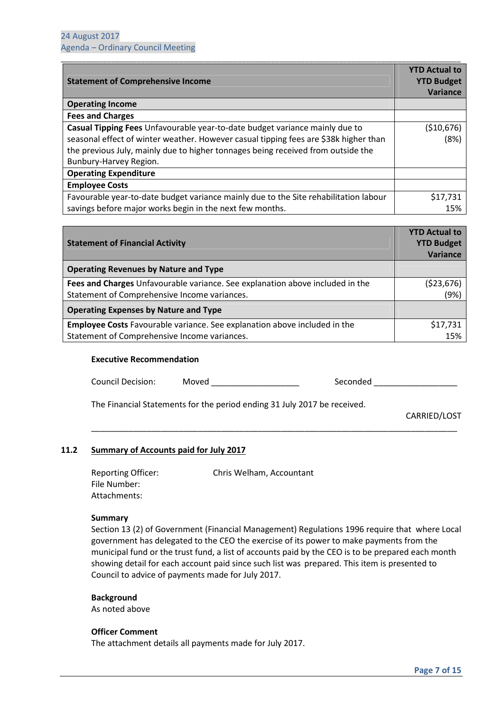| <b>Statement of Comprehensive Income</b>                                             | <b>YTD Actual to</b><br><b>YTD Budget</b> |
|--------------------------------------------------------------------------------------|-------------------------------------------|
|                                                                                      | Variance                                  |
| <b>Operating Income</b>                                                              |                                           |
| <b>Fees and Charges</b>                                                              |                                           |
| Casual Tipping Fees Unfavourable year-to-date budget variance mainly due to          | (\$10,676)                                |
| seasonal effect of winter weather. However casual tipping fees are \$38k higher than | (8%)                                      |
| the previous July, mainly due to higher tonnages being received from outside the     |                                           |
| Bunbury-Harvey Region.                                                               |                                           |
| <b>Operating Expenditure</b>                                                         |                                           |
| <b>Employee Costs</b>                                                                |                                           |
| Favourable year-to-date budget variance mainly due to the Site rehabilitation labour | \$17,731                                  |
| savings before major works begin in the next few months.                             | 15%                                       |

\_\_\_\_\_\_\_\_\_\_\_\_\_\_\_\_\_\_\_\_\_\_\_\_\_\_\_\_\_\_\_\_\_\_\_\_\_\_\_\_\_\_\_\_\_\_\_\_\_\_\_\_\_\_\_\_\_\_\_\_\_\_\_\_\_\_\_\_\_\_\_\_\_\_\_\_\_\_\_\_\_\_\_\_\_\_\_\_\_\_\_\_\_\_\_

| <b>Statement of Financial Activity</b>                                           | <b>YTD Actual to</b><br><b>YTD Budget</b><br>Variance |
|----------------------------------------------------------------------------------|-------------------------------------------------------|
| <b>Operating Revenues by Nature and Type</b>                                     |                                                       |
| Fees and Charges Unfavourable variance. See explanation above included in the    | (523, 676)                                            |
| Statement of Comprehensive Income variances.                                     | (9%)                                                  |
| <b>Operating Expenses by Nature and Type</b>                                     |                                                       |
| <b>Employee Costs</b> Favourable variance. See explanation above included in the | \$17,731                                              |
| Statement of Comprehensive Income variances.                                     | 15%                                                   |

#### **Executive Recommendation**

Council Decision: Moved \_\_\_\_\_\_\_\_\_\_\_\_\_\_\_\_\_\_\_ Seconded \_\_\_\_\_\_\_\_\_\_\_\_\_\_\_\_\_\_

\_\_\_\_\_\_\_\_\_\_\_\_\_\_\_\_\_\_\_\_\_\_\_\_\_\_\_\_\_\_\_\_\_\_\_\_\_\_\_\_\_\_\_\_\_\_\_\_\_\_\_\_\_\_\_\_\_\_\_\_\_\_\_\_\_\_\_\_\_\_\_\_\_\_\_\_\_\_\_

The Financial Statements for the period ending 31 July 2017 be received.

CARRIED/LOST

#### **11.2 Summary of Accounts paid for July 2017**

 Reporting Officer: Chris Welham, Accountant File Number: Attachments:

#### **Summary**

Section 13 (2) of Government (Financial Management) Regulations 1996 require that where Local government has delegated to the CEO the exercise of its power to make payments from the municipal fund or the trust fund, a list of accounts paid by the CEO is to be prepared each month showing detail for each account paid since such list was prepared. This item is presented to Council to advice of payments made for July 2017.

#### **Background**

As noted above

#### **Officer Comment**

The attachment details all payments made for July 2017.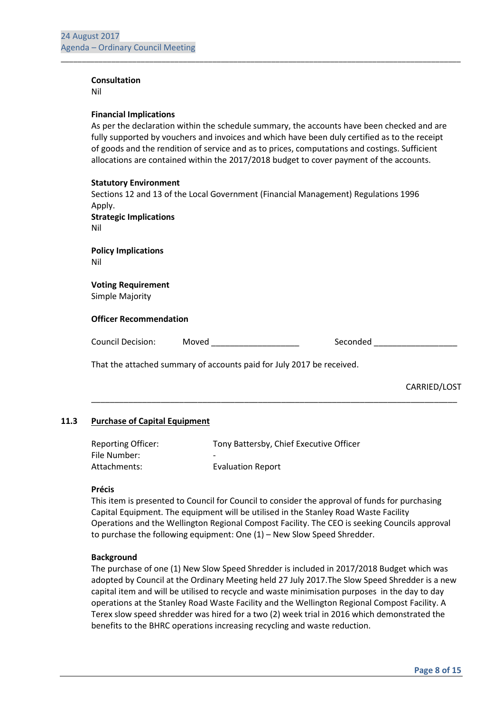#### **Consultation**

Nil

#### **Financial Implications**

 As per the declaration within the schedule summary, the accounts have been checked and are fully supported by vouchers and invoices and which have been duly certified as to the receipt of goods and the rendition of service and as to prices, computations and costings. Sufficient allocations are contained within the 2017/2018 budget to cover payment of the accounts.

\_\_\_\_\_\_\_\_\_\_\_\_\_\_\_\_\_\_\_\_\_\_\_\_\_\_\_\_\_\_\_\_\_\_\_\_\_\_\_\_\_\_\_\_\_\_\_\_\_\_\_\_\_\_\_\_\_\_\_\_\_\_\_\_\_\_\_\_\_\_\_\_\_\_\_\_\_\_\_\_\_\_\_\_\_\_\_\_\_\_\_\_\_\_\_

#### **Statutory Environment**

| Apply.                                                                | Sections 12 and 13 of the Local Government (Financial Management) Regulations 1996 |
|-----------------------------------------------------------------------|------------------------------------------------------------------------------------|
| <b>Strategic Implications</b>                                         |                                                                                    |
| Nil                                                                   |                                                                                    |
| <b>Policy Implications</b>                                            |                                                                                    |
| Nil                                                                   |                                                                                    |
| <b>Voting Requirement</b>                                             |                                                                                    |
| Simple Majority                                                       |                                                                                    |
| <b>Officer Recommendation</b>                                         |                                                                                    |
| <b>Council Decision:</b><br>Moved                                     | Seconded                                                                           |
| That the attached summary of accounts paid for July 2017 be received. |                                                                                    |
|                                                                       | CARRIED/LOST                                                                       |

# **11.3 Purchase of Capital Equipment**

| <b>Reporting Officer:</b> | Tony Battersby, Chief Executive Officer |
|---------------------------|-----------------------------------------|
| File Number:              | $\overline{\phantom{0}}$                |
| Attachments:              | <b>Evaluation Report</b>                |

#### **Précis**

 This item is presented to Council for Council to consider the approval of funds for purchasing Capital Equipment. The equipment will be utilised in the Stanley Road Waste Facility Operations and the Wellington Regional Compost Facility. The CEO is seeking Councils approval to purchase the following equipment: One (1) – New Slow Speed Shredder.

\_\_\_\_\_\_\_\_\_\_\_\_\_\_\_\_\_\_\_\_\_\_\_\_\_\_\_\_\_\_\_\_\_\_\_\_\_\_\_\_\_\_\_\_\_\_\_\_\_\_\_\_\_\_\_\_\_\_\_\_\_\_\_\_\_\_\_\_\_\_\_\_\_\_\_\_\_\_\_

#### **Background**

 The purchase of one (1) New Slow Speed Shredder is included in 2017/2018 Budget which was adopted by Council at the Ordinary Meeting held 27 July 2017.The Slow Speed Shredder is a new capital item and will be utilised to recycle and waste minimisation purposes in the day to day operations at the Stanley Road Waste Facility and the Wellington Regional Compost Facility. A Terex slow speed shredder was hired for a two (2) week trial in 2016 which demonstrated the benefits to the BHRC operations increasing recycling and waste reduction.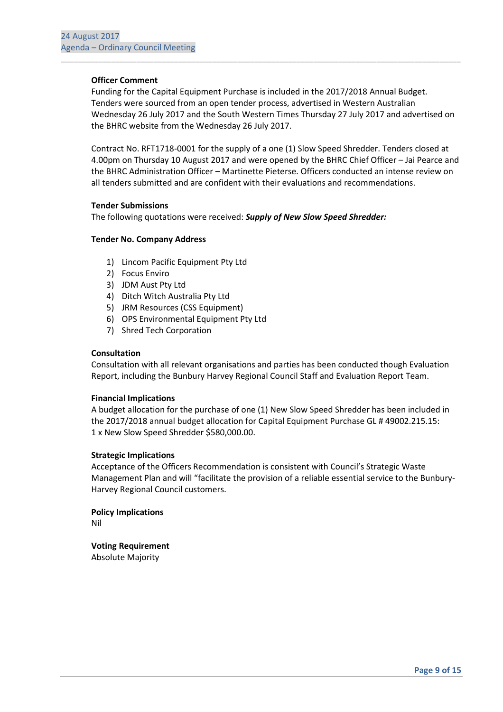#### **Officer Comment**

 Funding for the Capital Equipment Purchase is included in the 2017/2018 Annual Budget. Tenders were sourced from an open tender process, advertised in Western Australian Wednesday 26 July 2017 and the South Western Times Thursday 27 July 2017 and advertised on the BHRC website from the Wednesday 26 July 2017.

\_\_\_\_\_\_\_\_\_\_\_\_\_\_\_\_\_\_\_\_\_\_\_\_\_\_\_\_\_\_\_\_\_\_\_\_\_\_\_\_\_\_\_\_\_\_\_\_\_\_\_\_\_\_\_\_\_\_\_\_\_\_\_\_\_\_\_\_\_\_\_\_\_\_\_\_\_\_\_\_\_\_\_\_\_\_\_\_\_\_\_\_\_\_\_

 Contract No. RFT1718-0001 for the supply of a one (1) Slow Speed Shredder. Tenders closed at 4.00pm on Thursday 10 August 2017 and were opened by the BHRC Chief Officer – Jai Pearce and the BHRC Administration Officer – Martinette Pieterse. Officers conducted an intense review on all tenders submitted and are confident with their evaluations and recommendations.

#### **Tender Submissions**

The following quotations were received: *Supply of New Slow Speed Shredder:* 

#### **Tender No. Company Address**

- 1) Lincom Pacific Equipment Pty Ltd
- 2) Focus Enviro
- 3) JDM Aust Pty Ltd
- 4) Ditch Witch Australia Pty Ltd
- 5) JRM Resources (CSS Equipment)
- 6) OPS Environmental Equipment Pty Ltd
- 7) Shred Tech Corporation

#### **Consultation**

 Consultation with all relevant organisations and parties has been conducted though Evaluation Report, including the Bunbury Harvey Regional Council Staff and Evaluation Report Team.

#### **Financial Implications**

 A budget allocation for the purchase of one (1) New Slow Speed Shredder has been included in the 2017/2018 annual budget allocation for Capital Equipment Purchase GL # 49002.215.15: 1 x New Slow Speed Shredder \$580,000.00.

#### **Strategic Implications**

 Acceptance of the Officers Recommendation is consistent with Council's Strategic Waste Management Plan and will "facilitate the provision of a reliable essential service to the Bunbury- Harvey Regional Council customers.

 **Policy Implications**  Nil

 **Voting Requirement**  Absolute Majority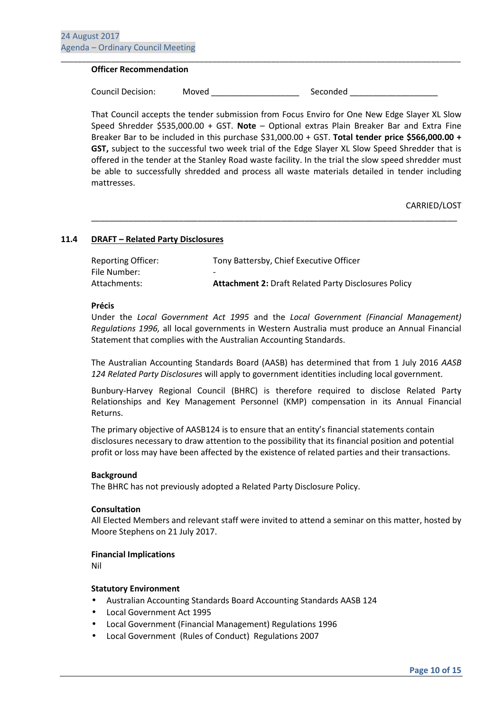#### **Officer Recommendation**

Council Decision: Moved Seconded Seconded Seconded Seconded Seconded Seconded Seconded Seconded Seconded Seconded Seconded Seconded Seconded Seconded Seconded Seconded Seconded Seconded Seconded Seconded Seconded Seconded

\_\_\_\_\_\_\_\_\_\_\_\_\_\_\_\_\_\_\_\_\_\_\_\_\_\_\_\_\_\_\_\_\_\_\_\_\_\_\_\_\_\_\_\_\_\_\_\_\_\_\_\_\_\_\_\_\_\_\_\_\_\_\_\_\_\_\_\_\_\_\_\_\_\_\_\_\_\_\_\_\_\_\_\_\_\_\_\_\_\_\_\_\_\_\_

 That Council accepts the tender submission from Focus Enviro for One New Edge Slayer XL Slow Speed Shredder \$535,000.00 + GST. **Note** – Optional extras Plain Breaker Bar and Extra Fine Breaker Bar to be included in this purchase \$31,000.00 + GST. **Total tender price \$566,000.00 + GST,** subject to the successful two week trial of the Edge Slayer XL Slow Speed Shredder that is offered in the tender at the Stanley Road waste facility. In the trial the slow speed shredder must be able to successfully shredded and process all waste materials detailed in tender including mattresses.

CARRIED/LOST

#### **11.4 DRAFT – Related Party Disclosures**

| <b>Reporting Officer:</b> | Tony Battersby, Chief Executive Officer                     |
|---------------------------|-------------------------------------------------------------|
| File Number:              | $\overline{\phantom{0}}$                                    |
| Attachments:              | <b>Attachment 2: Draft Related Party Disclosures Policy</b> |

\_\_\_\_\_\_\_\_\_\_\_\_\_\_\_\_\_\_\_\_\_\_\_\_\_\_\_\_\_\_\_\_\_\_\_\_\_\_\_\_\_\_\_\_\_\_\_\_\_\_\_\_\_\_\_\_\_\_\_\_\_\_\_\_\_\_\_\_\_\_\_\_\_\_\_\_\_\_\_

#### **Précis**

 Under the *Local Government Act 1995* and the *Local Government (Financial Management) Regulations 1996,* all local governments in Western Australia must produce an Annual Financial Statement that complies with the Australian Accounting Standards.

 The Australian Accounting Standards Board (AASB) has determined that from 1 July 2016 *AASB 124 Related Party Disclosures* will apply to government identities including local government.

 Bunbury-Harvey Regional Council (BHRC) is therefore required to disclose Related Party Relationships and Key Management Personnel (KMP) compensation in its Annual Financial Returns.

 The primary objective of AASB124 is to ensure that an entity's financial statements contain disclosures necessary to draw attention to the possibility that its financial position and potential profit or loss may have been affected by the existence of related parties and their transactions.

#### **Background**

The BHRC has not previously adopted a Related Party Disclosure Policy.

#### **Consultation**

 All Elected Members and relevant staff were invited to attend a seminar on this matter, hosted by Moore Stephens on 21 July 2017.

#### **Financial Implications**

Nil

#### **Statutory Environment**

- Australian Accounting Standards Board Accounting Standards AASB 124
- Local Government Act 1995
- Local Government (Financial Management) Regulations 1996
- Local Government (Rules of Conduct) Regulations 2007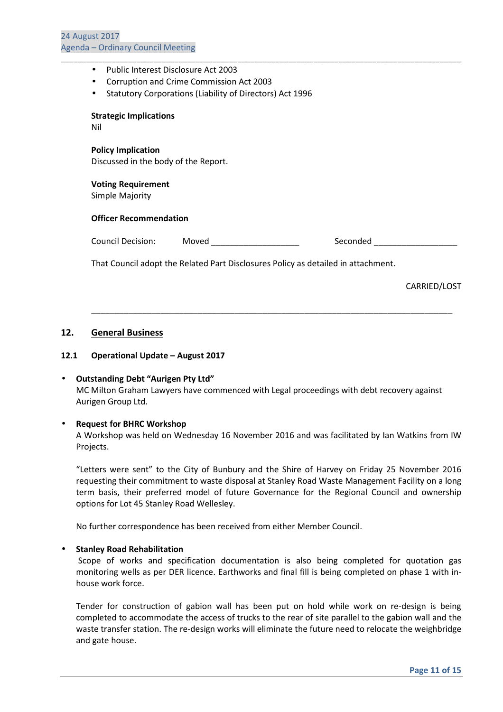- Public Interest Disclosure Act 2003
- Corruption and Crime Commission Act 2003
- Statutory Corporations (Liability of Directors) Act 1996

#### **Strategic Implications**

Nil

 **Policy Implication**  Discussed in the body of the Report.

#### **Voting Requirement**  Simple Majority

#### **Officer Recommendation**

| <b>Council Decision:</b> | Moved | Seconded |
|--------------------------|-------|----------|
|--------------------------|-------|----------|

\_\_\_\_\_\_\_\_\_\_\_\_\_\_\_\_\_\_\_\_\_\_\_\_\_\_\_\_\_\_\_\_\_\_\_\_\_\_\_\_\_\_\_\_\_\_\_\_\_\_\_\_\_\_\_\_\_\_\_\_\_\_\_\_\_\_\_\_\_\_\_\_\_\_\_\_\_\_\_\_\_\_\_\_\_\_\_\_\_\_\_\_\_\_\_

That Council adopt the Related Part Disclosures Policy as detailed in attachment.

CARRIED/LOST

## **12. General Business**

#### **12.1 Operational Update – August 2017**

#### • **Outstanding Debt "Aurigen Pty Ltd"**

MC Milton Graham Lawyers have commenced with Legal proceedings with debt recovery against Aurigen Group Ltd.

\_\_\_\_\_\_\_\_\_\_\_\_\_\_\_\_\_\_\_\_\_\_\_\_\_\_\_\_\_\_\_\_\_\_\_\_\_\_\_\_\_\_\_\_\_\_\_\_\_\_\_\_\_\_\_\_\_\_\_\_\_\_\_\_\_\_\_\_\_\_\_\_\_\_\_\_\_\_

#### • **Request for BHRC Workshop**

A Workshop was held on Wednesday 16 November 2016 and was facilitated by Ian Watkins from IW Projects.

"Letters were sent" to the City of Bunbury and the Shire of Harvey on Friday 25 November 2016 requesting their commitment to waste disposal at Stanley Road Waste Management Facility on a long term basis, their preferred model of future Governance for the Regional Council and ownership options for Lot 45 Stanley Road Wellesley.

No further correspondence has been received from either Member Council.

#### • **Stanley Road Rehabilitation**

 Scope of works and specification documentation is also being completed for quotation gas monitoring wells as per DER licence. Earthworks and final fill is being completed on phase 1 with inhouse work force.

Tender for construction of gabion wall has been put on hold while work on re-design is being completed to accommodate the access of trucks to the rear of site parallel to the gabion wall and the waste transfer station. The re-design works will eliminate the future need to relocate the weighbridge and gate house.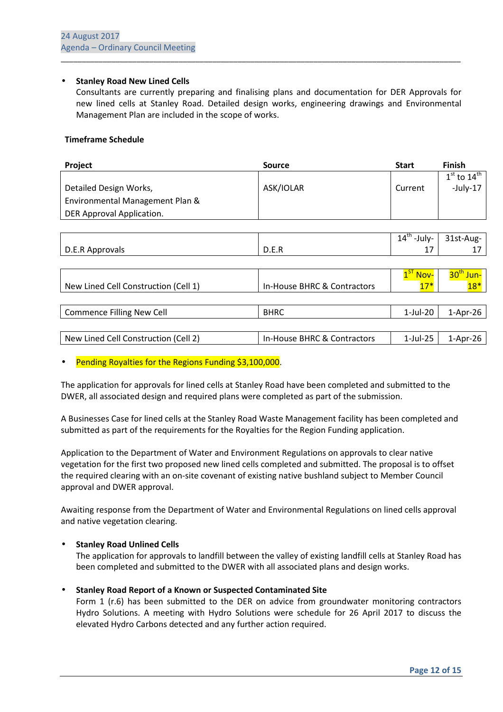#### • **Stanley Road New Lined Cells**

Consultants are currently preparing and finalising plans and documentation for DER Approvals for new lined cells at Stanley Road. Detailed design works, engineering drawings and Environmental Management Plan are included in the scope of works.

\_\_\_\_\_\_\_\_\_\_\_\_\_\_\_\_\_\_\_\_\_\_\_\_\_\_\_\_\_\_\_\_\_\_\_\_\_\_\_\_\_\_\_\_\_\_\_\_\_\_\_\_\_\_\_\_\_\_\_\_\_\_\_\_\_\_\_\_\_\_\_\_\_\_\_\_\_\_\_\_\_\_\_\_\_\_\_\_\_\_\_\_\_\_\_

#### **Timeframe Schedule**

| <b>Project</b>                  | <b>Source</b> | <b>Start</b> | <b>Finish</b>   |
|---------------------------------|---------------|--------------|-----------------|
|                                 |               |              | $1st$ to $14th$ |
| Detailed Design Works,          | ASK/IOLAR     | Current      | $-$ July $-17$  |
| Environmental Management Plan & |               |              |                 |
| DER Approval Application.       |               |              |                 |

|                                      |                             | $14^{\text{th}}$<br>-July- | 31st-Aug-            |
|--------------------------------------|-----------------------------|----------------------------|----------------------|
| D.E.R Approvals                      | D.E.R                       | 17                         | 17                   |
|                                      |                             |                            |                      |
|                                      |                             | Nov-                       | $30^{\rm u}$<br>Jun- |
| New Lined Cell Construction (Cell 1) | In-House BHRC & Contractors | $17*$                      |                      |
|                                      |                             |                            |                      |
| <b>Commence Filling New Cell</b>     | <b>BHRC</b>                 | $1$ -Jul-20                | 1-Apr-26             |
|                                      |                             |                            |                      |
| New Lined Cell Construction (Cell 2) | In-House BHRC & Contractors | $1$ -Jul-25                | $1-Apr-26$           |

#### Pending Royalties for the Regions Funding \$3,100,000.

The application for approvals for lined cells at Stanley Road have been completed and submitted to the DWER, all associated design and required plans were completed as part of the submission.

A Businesses Case for lined cells at the Stanley Road Waste Management facility has been completed and submitted as part of the requirements for the Royalties for the Region Funding application.

Application to the Department of Water and Environment Regulations on approvals to clear native vegetation for the first two proposed new lined cells completed and submitted. The proposal is to offset the required clearing with an on-site covenant of existing native bushland subject to Member Council approval and DWER approval.

Awaiting response from the Department of Water and Environmental Regulations on lined cells approval and native vegetation clearing.

#### • **Stanley Road Unlined Cells**

The application for approvals to landfill between the valley of existing landfill cells at Stanley Road has been completed and submitted to the DWER with all associated plans and design works.

#### • **Stanley Road Report of a Known or Suspected Contaminated Site**

Form 1 (r.6) has been submitted to the DER on advice from groundwater monitoring contractors Hydro Solutions. A meeting with Hydro Solutions were schedule for 26 April 2017 to discuss the elevated Hydro Carbons detected and any further action required.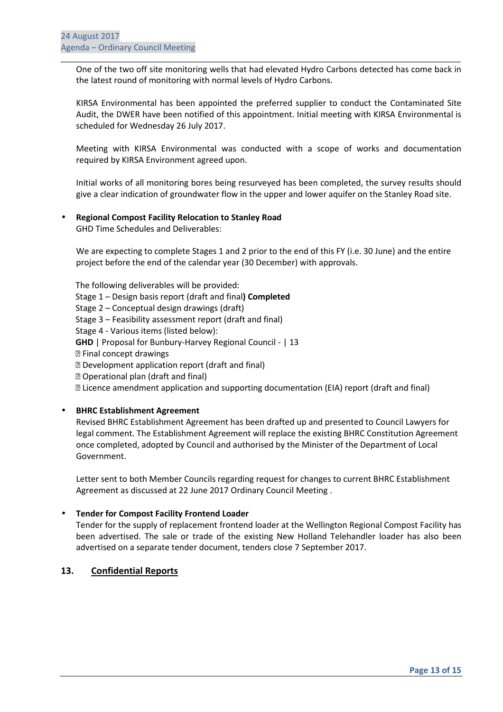One of the two off site monitoring wells that had elevated Hydro Carbons detected has come back in the latest round of monitoring with normal levels of Hydro Carbons.

\_\_\_\_\_\_\_\_\_\_\_\_\_\_\_\_\_\_\_\_\_\_\_\_\_\_\_\_\_\_\_\_\_\_\_\_\_\_\_\_\_\_\_\_\_\_\_\_\_\_\_\_\_\_\_\_\_\_\_\_\_\_\_\_\_\_\_\_\_\_\_\_\_\_\_\_\_\_\_\_\_\_\_\_\_\_\_\_\_\_\_\_\_\_\_

KIRSA Environmental has been appointed the preferred supplier to conduct the Contaminated Site Audit, the DWER have been notified of this appointment. Initial meeting with KIRSA Environmental is scheduled for Wednesday 26 July 2017.

Meeting with KIRSA Environmental was conducted with a scope of works and documentation required by KIRSA Environment agreed upon.

Initial works of all monitoring bores being resurveyed has been completed, the survey results should give a clear indication of groundwater flow in the upper and lower aquifer on the Stanley Road site.

# • **Regional Compost Facility Relocation to Stanley Road**

GHD Time Schedules and Deliverables:

We are expecting to complete Stages 1 and 2 prior to the end of this FY (i.e. 30 June) and the entire project before the end of the calendar year (30 December) with approvals.

 The following deliverables will be provided: Stage 1 – Design basis report (draft and final**) Completed** Stage 2 – Conceptual design drawings (draft) Stage 3 – Feasibility assessment report (draft and final) Stage 4 - Various items (listed below):  **GHD** | Proposal for Bunbury-Harvey Regional Council - | 13 Final concept drawings Development application report (draft and final) Operational plan (draft and final) Licence amendment application and supporting documentation (EIA) report (draft and final)

#### • **BHRC Establishment Agreement**

Revised BHRC Establishment Agreement has been drafted up and presented to Council Lawyers for legal comment. The Establishment Agreement will replace the existing BHRC Constitution Agreement once completed, adopted by Council and authorised by the Minister of the Department of Local Government.

Letter sent to both Member Councils regarding request for changes to current BHRC Establishment Agreement as discussed at 22 June 2017 Ordinary Council Meeting .

#### • **Tender for Compost Facility Frontend Loader**

Tender for the supply of replacement frontend loader at the Wellington Regional Compost Facility has been advertised. The sale or trade of the existing New Holland Telehandler loader has also been advertised on a separate tender document, tenders close 7 September 2017.

# **13. Confidential Reports**